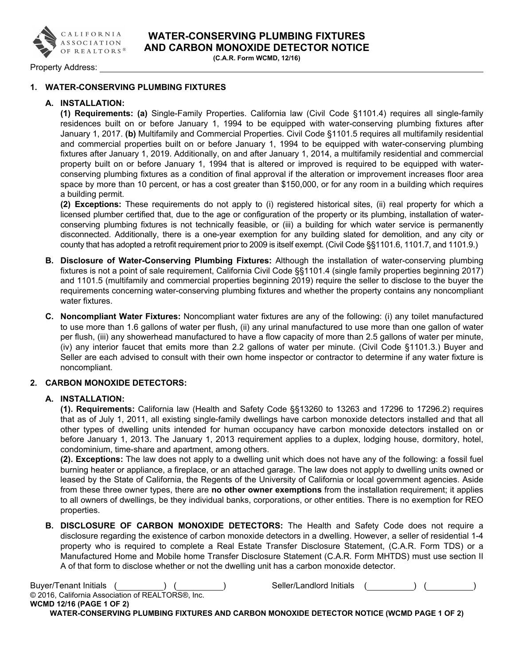

Property Address:

## 1. WATER-CONSERVING PLUMBING FIXTURES

## A. INSTALLATION:

(1) Requirements: (a) Single-Family Properties. California law (Civil Code §1101.4) requires all single-family residences built on or before January 1, 1994 to be equipped with water-conserving plumbing fixtures after January 1, 2017. (b) Multifamily and Commercial Properties. Civil Code §1101.5 requires all multifamily residential and commercial properties built on or before January 1, 1994 to be equipped with water-conserving plumbing fixtures after January 1, 2019. Additionally, on and after January 1, 2014, a multifamily residential and commercial property built on or before January 1, 1994 that is altered or improved is required to be equipped with waterconserving plumbing fixtures as a condition of final approval if the alteration or improvement increases floor area space by more than 10 percent, or has a cost greater than \$150,000, or for any room in a building which requires a building permit.

(2) Exceptions: These requirements do not apply to (i) registered historical sites, (ii) real property for which a licensed plumber certified that, due to the age or configuration of the property or its plumbing, installation of waterconserving plumbing fixtures is not technically feasible, or (iii) a building for which water service is permanently disconnected. Additionally, there is a one-year exemption for any building slated for demolition, and any city or county that has adopted a retrofit requirement prior to 2009 is itself exempt. (Civil Code §§1101.6, 1101.7, and 1101.9.)

- B. Disclosure of Water-Conserving Plumbing Fixtures: Although the installation of water-conserving plumbing fixtures is not a point of sale requirement, California Civil Code §§1101.4 (single family properties beginning 2017) and 1101.5 (multifamily and commercial properties beginning 2019) require the seller to disclose to the buyer the requirements concerning water-conserving plumbing fixtures and whether the property contains any noncompliant water fixtures.
- C. Noncompliant Water Fixtures: Noncompliant water fixtures are any of the following: (i) any toilet manufactured to use more than 1.6 gallons of water per flush, (ii) any urinal manufactured to use more than one gallon of water per flush, (iii) any showerhead manufactured to have a flow capacity of more than 2.5 gallons of water per minute, (iv) any interior faucet that emits more than 2.2 gallons of water per minute. (Civil Code §1101.3.) Buyer and Seller are each advised to consult with their own home inspector or contractor to determine if any water fixture is noncompliant.

## 2. CARBON MONOXIDE DETECTORS:

## A. INSTALLATION:

(1). Requirements: California law (Health and Safety Code §§13260 to 13263 and 17296 to 17296.2) requires that as of July 1, 2011, all existing single-family dwellings have carbon monoxide detectors installed and that all other types of dwelling units intended for human occupancy have carbon monoxide detectors installed on or before January 1, 2013. The January 1, 2013 requirement applies to a duplex, lodging house, dormitory, hotel, condominium, time-share and apartment, among others.

(2). Exceptions: The law does not apply to a dwelling unit which does not have any of the following: a fossil fuel burning heater or appliance, a fireplace, or an attached garage. The law does not apply to dwelling units owned or leased by the State of California, the Regents of the University of California or local government agencies. Aside from these three owner types, there are no other owner exemptions from the installation requirement; it applies to all owners of dwellings, be they individual banks, corporations, or other entities. There is no exemption for REO properties.

B. DISCLOSURE OF CARBON MONOXIDE DETECTORS: The Health and Safety Code does not require a disclosure regarding the existence of carbon monoxide detectors in a dwelling. However, a seller of residential 1-4 property who is required to complete a Real Estate Transfer Disclosure Statement, (C.A.R. Form TDS) or a Manufactured Home and Mobile home Transfer Disclosure Statement (C.A.R. Form MHTDS) must use section II A of that form to disclose whether or not the dwelling unit has a carbon monoxide detector.

| <b>Buyer/Tenant Initials</b>                                                              | Seller/Landlord Initials |  |
|-------------------------------------------------------------------------------------------|--------------------------|--|
| © 2016, California Association of REALTORS®, Inc.                                         |                          |  |
| <b>WCMD 12/16 (PAGE 1 OF 2)</b>                                                           |                          |  |
| WATER-CONSERVING PLUMBING FIXTURES AND CARBON MONOXIDE DETECTOR NOTICE (WCMD PAGE 1 OF 2) |                          |  |